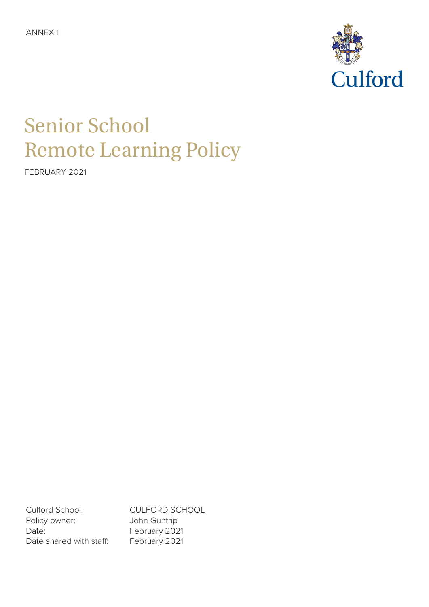ANNEX 1



# Senior School Remote Learning Policy

FEBRUARY 2021

Culford School: CULFORD SCHOOL Policy owner: John Guntrip Date: February 2021 Date shared with staff: February 2021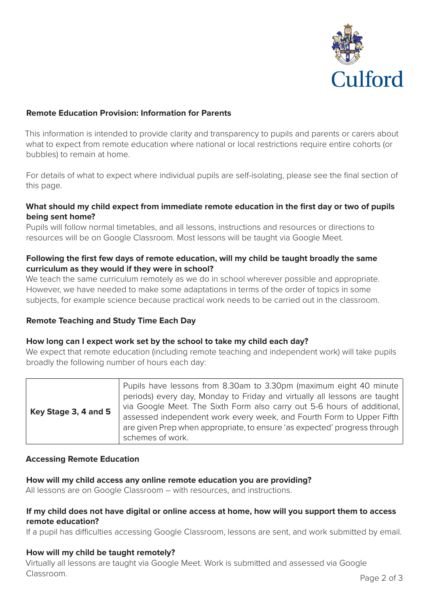

# **Remote Education Provision: Information for Parents**

This information is intended to provide clarity and transparency to pupils and parents or carers about what to expect from remote education where national or local restrictions require entire cohorts (or bubbles) to remain at home.

For details of what to expect where individual pupils are self-isolating, please see the final section of this page.

# **What should my child expect from immediate remote education in the first day or two of pupils being sent home?**

Pupils will follow normal timetables, and all lessons, instructions and resources or directions to resources will be on Google Classroom. Most lessons will be taught via Google Meet.

# **Following the first few days of remote education, will my child be taught broadly the same curriculum as they would if they were in school?**

We teach the same curriculum remotely as we do in school wherever possible and appropriate. However, we have needed to make some adaptations in terms of the order of topics in some subjects, for example science because practical work needs to be carried out in the classroom.

#### **Remote Teaching and Study Time Each Day**

#### **How long can I expect work set by the school to take my child each day?**

We expect that remote education (including remote teaching and independent work) will take pupils broadly the following number of hours each day:

#### **Accessing Remote Education**

#### **How will my child access any online remote education you are providing?**

All lessons are on Google Classroom – with resources, and instructions.

## **If my child does not have digital or online access at home, how will you support them to access remote education?**

If a pupil has difficulties accessing Google Classroom, lessons are sent, and work submitted by email.

#### **How will my child be taught remotely?**

Virtually all lessons are taught via Google Meet. Work is submitted and assessed via Google Classroom.